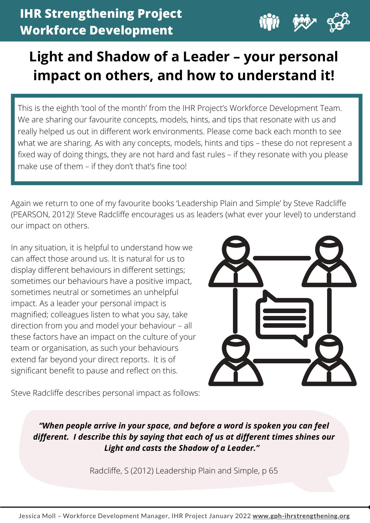

# **Light and Shadow of a Leader – your personal impact on others, and how to understand it!**

This is the eighth 'tool of the month' from the IHR Project's Workforce Development Team. We are sharing our favourite concepts, models, hints, and tips that resonate with us and really helped us out in different work environments. Please come back each month to see what we are sharing. As with any concepts, models, hints and tips – these do not represent a fixed way of doing things, they are not hard and fast rules – if they resonate with you please make use of them – if they don't that's fine too!

Again we return to one of my favourite books 'Leadership Plain and Simple' by Steve Radcliffe (PEARSON, 2012)! Steve Radcliffe encourages us as leaders (what ever your level) to understand our impact on others.

In any situation, it is helpful to understand how we can affect those around us. It is natural for us to display different behaviours in different settings; sometimes our behaviours have a positive impact, sometimes neutral or sometimes an unhelpful impact. As a leader your personal impact is magnified; colleagues listen to what you say, take direction from you and model your behaviour – all these factors have an impact on the culture of your team or organisation, as such your behaviours extend far beyond your direct reports. It is of significant benefit to pause and reflect on this.



Steve Radcliffe describes personal impact as follows:

*"When people arrive in your space, and before a word is spoken you can feel different. I describe this by saying that each of us at different times shines our Light and casts the Shadow of a Leader."*

Radcliffe, S (2012) Leadership Plain and Simple, p 65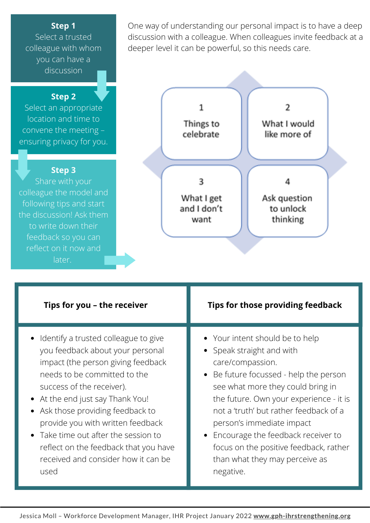#### **Step 1**

Select a trusted colleague with whom you can have a discussion

### **Step 2**

Select an appropriate location and time to convene the meeting – ensuring privacy for you.

#### **Step 3**

Share with your colleague the model and following tips and start the discussion! Ask them to write down their feedback so you can reflect on it now and later.

One way of understanding our personal impact is to have a deep discussion with a colleague. When colleagues invite feedback at a deeper level it can be powerful, so this needs care.



| Tips for you - the receiver                                                                                                                                                                                                                                                                                                                                                                                             | Tips for those providing feedback                                                                                                                                                                                                                                                                                                                                                                                             |
|-------------------------------------------------------------------------------------------------------------------------------------------------------------------------------------------------------------------------------------------------------------------------------------------------------------------------------------------------------------------------------------------------------------------------|-------------------------------------------------------------------------------------------------------------------------------------------------------------------------------------------------------------------------------------------------------------------------------------------------------------------------------------------------------------------------------------------------------------------------------|
| Identify a trusted colleague to give<br>you feedback about your personal<br>impact (the person giving feedback<br>needs to be committed to the<br>success of the receiver).<br>• At the end just say Thank You!<br>• Ask those providing feedback to<br>provide you with written feedback<br>Take time out after the session to<br>reflect on the feedback that you have<br>received and consider how it can be<br>used | • Your intent should be to help<br>Speak straight and with<br>$\bullet$<br>care/compassion.<br>• Be future focussed - help the person<br>see what more they could bring in<br>the future. Own your experience - it is<br>not a 'truth' but rather feedback of a<br>person's immediate impact<br>• Encourage the feedback receiver to<br>focus on the positive feedback, rather<br>than what they may perceive as<br>negative. |